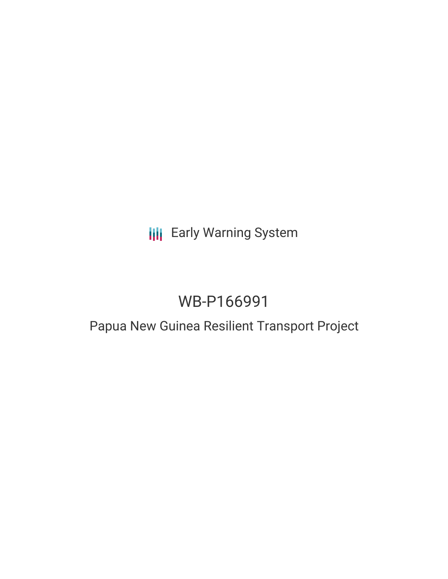# **III** Early Warning System

# WB-P166991

# Papua New Guinea Resilient Transport Project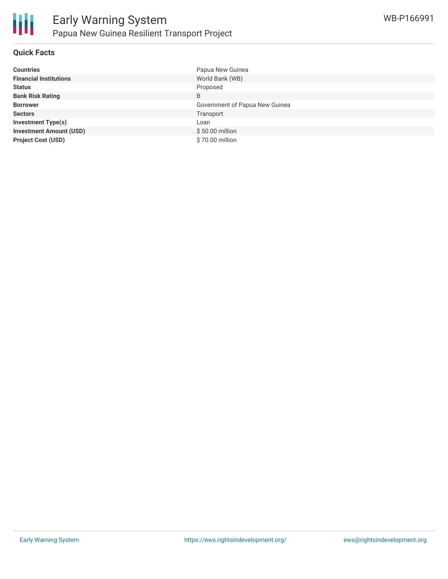

### **Quick Facts**

| <b>Countries</b>               | Papua New Guinea               |
|--------------------------------|--------------------------------|
| <b>Financial Institutions</b>  | World Bank (WB)                |
| <b>Status</b>                  | Proposed                       |
| <b>Bank Risk Rating</b>        | B                              |
| <b>Borrower</b>                | Government of Papua New Guinea |
| <b>Sectors</b>                 | Transport                      |
| <b>Investment Type(s)</b>      | Loan                           |
| <b>Investment Amount (USD)</b> | \$50.00 million                |
| <b>Project Cost (USD)</b>      | \$70.00 million                |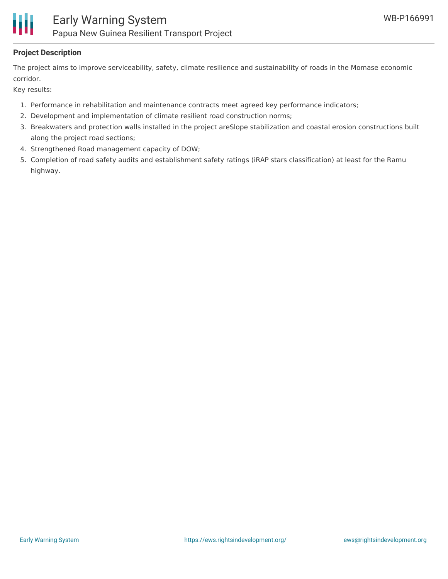

## **Project Description**

The project aims to improve serviceability, safety, climate resilience and sustainability of roads in the Momase economic corridor.

Key results:

- 1. Performance in rehabilitation and maintenance contracts meet agreed key performance indicators;
- 2. Development and implementation of climate resilient road construction norms;
- 3. Breakwaters and protection walls installed in the project areSlope stabilization and coastal erosion constructions built along the project road sections;
- 4. Strengthened Road management capacity of DOW;
- 5. Completion of road safety audits and establishment safety ratings (iRAP stars classification) at least for the Ramu highway.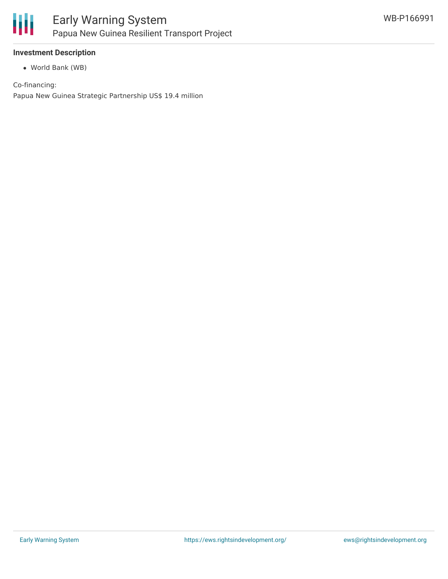

### **Investment Description**

World Bank (WB)

Co-financing:

Papua New Guinea Strategic Partnership US\$ 19.4 million